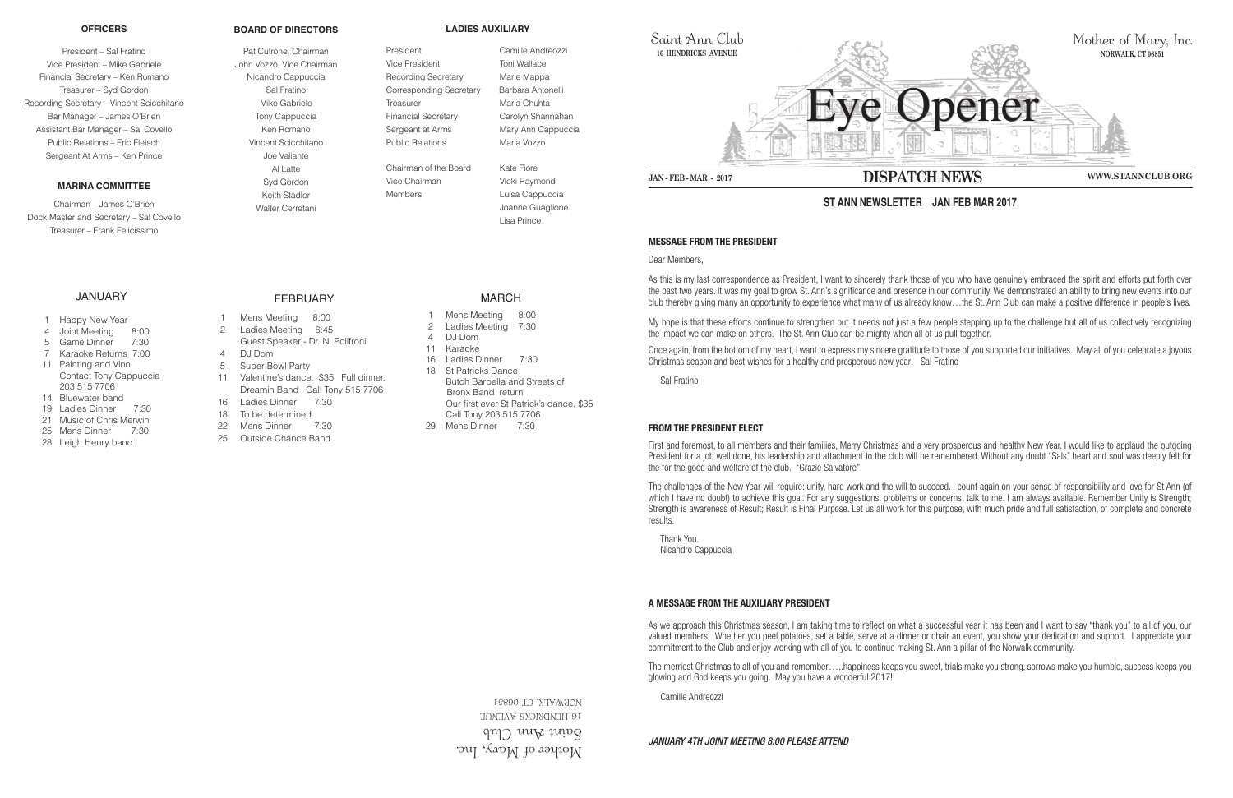Mother of Mary, Inc.  $\gamma$ ann ann Club **16 HENDRICKS AVENUE** 06851 NORWALK, CT

Public Relations Maria Vozzo Chairman of the Board Kate Fiore Vice Chairman Vicki Raymond Members **Luisa Cappuccia** 



Saint Ann Club **16 HENDRICKS AVENUE**

### **MESSAGE FROM THE PRESIDENT**

Dear Members,

As this is my last correspondence as President, I want to sincerely thank those of you who have genuinely embraced the spirit and efforts put forth over the past two years. It was my goal to grow St. Ann's significance and presence in our community. We demonstrated an ability to bring new events into our club thereby giving many an opportunity to experience what many of us already know…the St. Ann Club can make a positive difference in people's lives.

My hope is that these efforts continue to strengthen but it needs not just a few people stepping up to the challenge but all of us collectively recognizing the impact we can make on others. The St. Ann Club can be mighty when all of us pull together.

Once again, from the bottom of my heart, I want to express my sincere gratitude to those of you supported our initiatives. May all of you celebrate a joyous Christmas season and best wishes for a healthy and prosperous new year! Sal Fratino

Sal Fratino

## **FROM THE PRESIDENT ELECT**

First and foremost, to all members and their families, Merry Christmas and a very prosperous and healthy New Year. I would like to applaud the outgoing President for a job well done, his leadership and attachment to the club will be remembered. Without any doubt "Sals" heart and soul was deeply felt for the for the good and welfare of the club. "Grazie Salvatore"

The challenges of the New Year will require: unity, hard work and the will to succeed. I count again on your sense of responsibility and love for St Ann (of which I have no doubt) to achieve this goal. For any suggestions, problems or concerns, talk to me. I am always available. Remember Unity is Strength; Strength is awareness of Result; Result is Final Purpose. Let us all work for this purpose, with much pride and full satisfaction, of complete and concrete results.

- **Happy New Year**
- 4 Joint Meeting 8:00
- 5 Game Dinner 7:30
- 7 Karaoke Returns 7:00
- 11 Painting and Vino Contact Tony Cappuccia 203 515 7706
- 14 Bluewater band
- 19 Ladies Dinner 7:30
- 21 Music of Chris Merwin
- 25 Mens Dinner 7:30
- 28 Leigh Henry band

 Thank You. Nicandro Cappuccia

#### **A MESSAGE FROM THE AUXILIARY PRESIDENT**

As we approach this Christmas season, I am taking time to reflect on what a successful year it has been and I want to say "thank you" to all of you, our valued members. Whether you peel potatoes, set a table, serve at a dinner or chair an event, you show your dedication and support. I appreciate your commitment to the Club and enjoy working with all of you to continue making St. Ann a pillar of the Norwalk community.

The merriest Christmas to all of you and remember…..happiness keeps you sweet, trials make you strong, sorrows make you humble, success keeps you glowing and God keeps you going. May you have a wonderful 2017!

Camille Andreozzi

## *JANUARY 4TH JOINT MEETING 8:00 PLEASE ATTEND*

# **ST ANN NEWSLETTER JAN FEB MAR 2017**

#### **OFFICERS**

President – Sal Fratino Vice President – Mike Gabriele Financial Secretary – Ken Romano Treasurer – Syd Gordon Recording Secretary – Vincent Scicchitano Bar Manager – James O'Brien Assistant Bar Manager – Sal Covello Public Relations – Eric Fleisch Sergeant At Arms – Ken Prince

### **MARINA COMMITTEE**

Chairman – James O'Brien Dock Master and Secretary – Sal Covello Treasurer – Frank Felicissimo

#### **BOARD OF DIRECTORS**

Pat Cutrone, Chairman John Vozzo, Vice Chairman Nicandro Cappuccia Sal Fratino Mike Gabriele Tony Cappuccia Ken Romano Vincent Scicchitano Joe Valiante Al Latte Syd Gordon Keith Stadler Walter Cerretani

### **LADIES AUXILIARY**

President Camille Andreozzi Vice President Toni Wallace Recording Secretary Marie Mappa Corresponding Secretary Barbara Antonelli Treasurer Maria Chuhta Financial Secretary Carolyn Shannahan Sergeant at Arms Mary Ann Cappuccia

 Joanne Guaglione Lisa Prince

## JANUARY

FEBRUARY

- 1 Mens Meeting 8:00
- 2 Ladies Meeting 6:45 Guest Speaker - Dr. N. Polifroni
- 4 DJ Dom
- 5 Super Bowl Party
- 11 Valentine's dance. \$35. Full dinner. Dreamin Band Call Tony 515 7706
- 16 Ladies Dinner 7:30
- 18 To be determined
- 22 Mens Dinner 7:30
- 25 Outside Chance Band

MARCH

- 
- 
- 1 Mens Meeting 8:00
- 2 Ladies Meeting 7:30
- 4 DJ Dom
- 11 Karaoke
- 16 Ladies Dinner 7:30
- 18 St Patricks Dance Butch Barbella and Streets of Bronx Band return Our first ever St Patrick's dance. \$35 Call Tony 203 515 7706
- 29 Mens Dinner 7:30